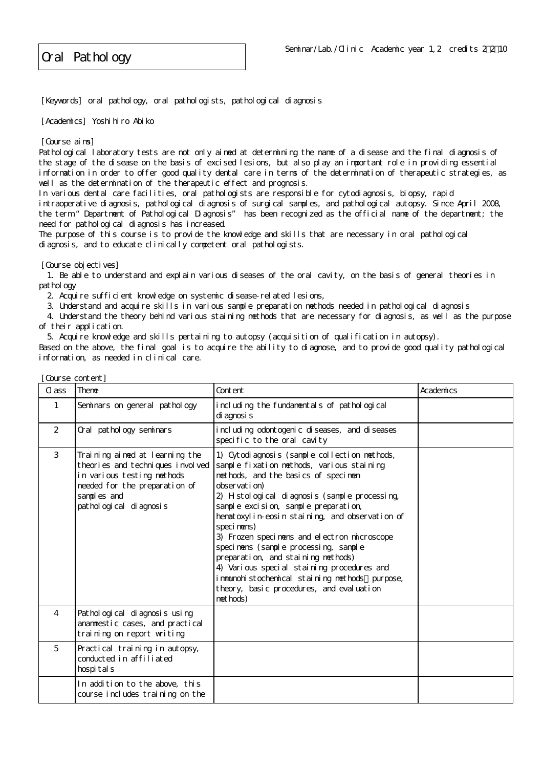Oral Pathology

[Keywords] oral pathology, oral pathologists, pathological diagnosis

[Academics] Yoshi hiro Abiko

[Course aims]

Pathological laboratory tests are not only aimed at determining the name of a disease and the final diagnosis of the stage of the disease on the basis of excised lesions, but also play an important role in providing essential information in order to offer good quality dental care in terms of the determination of therapeutic strategies, as well as the determination of the therapeutic effect and prognosis.

In various dental care facilities, oral pathologists are responsible for cytodiagnosis, biopsy, rapid intraoperative diagnosis, pathological diagnosis of surgical samples, and pathological autopsy. Since April 2008, the term "Department of Pathological Diagnosis" has been recognized as the official name of the department; the need for pathological diagnosis has increased.

The purpose of this course is to provide the knowledge and skills that are necessary in oral pathological diagnosis, and to educate clinically competent oral pathologists.

[Course objectives]

 1. Be able to understand and explain various diseases of the oral cavity, on the basis of general theories in pathol ogy

2. Acquire sufficient knowledge on systemic disease-related lesions,

3. Understand and acquire skills in various sample preparation methods needed in pathological diagnosis

 4. Understand the theory behind various staining methods that are necessary for diagnosis, as well as the purpose of their application.

5. Acquire knowledge and skills pertaining to autopsy (acquisition of qualification in autopsy).

Based on the above, the final goal is to acquire the ability to diagnose, and to provide good quality pathological information, as needed in clinical care.

| Course content] |                                                                                                                                                                             |                                                                                                                                                                                                                                                                                                                                                                                                                                                                                                                                                                                                  |           |  |  |
|-----------------|-----------------------------------------------------------------------------------------------------------------------------------------------------------------------------|--------------------------------------------------------------------------------------------------------------------------------------------------------------------------------------------------------------------------------------------------------------------------------------------------------------------------------------------------------------------------------------------------------------------------------------------------------------------------------------------------------------------------------------------------------------------------------------------------|-----------|--|--|
| CL ass          | <b>Theme</b>                                                                                                                                                                | Content                                                                                                                                                                                                                                                                                                                                                                                                                                                                                                                                                                                          | Academics |  |  |
| $\mathbf{1}$    | Seminars on general pathology                                                                                                                                               | including the fundamentals of pathological<br>di agnosi s                                                                                                                                                                                                                                                                                                                                                                                                                                                                                                                                        |           |  |  |
| $\overline{2}$  | Oral pathology seminars                                                                                                                                                     | i ncl udi ng odontogeni c di seases, and di seases<br>specific to the oral cavity                                                                                                                                                                                                                                                                                                                                                                                                                                                                                                                |           |  |  |
| 3               | Training aimed at learning the<br>theories and techniques involved<br>in various testing methods<br>needed for the preparation of<br>samples and<br>pathological di agnosis | 1) Cytodi agnosis (sample collection methods,<br>sample fixation methods, various staining<br>methods, and the basics of specimen<br>observation)<br>2) Histological diagnosis (sample processing,<br>sample excision, sample preparation,<br>hematoxylin-eosin staining, and observation of<br>speci mens)<br>3) Frozen specimens and electron microscope<br>speci nens (sample processing, sample<br>preparation, and staining methods)<br>4) Various special staining procedures and<br>immunohistochemical staining methods purpose,<br>theory, basic procedures, and evaluation<br>methods) |           |  |  |
| $\overline{4}$  | Pathological di agnosis using<br>anammestic cases, and practical<br>training on report writing                                                                              |                                                                                                                                                                                                                                                                                                                                                                                                                                                                                                                                                                                                  |           |  |  |
| 5               | Practical training in autopsy,<br>conducted in affiliated<br>hospi tal s                                                                                                    |                                                                                                                                                                                                                                                                                                                                                                                                                                                                                                                                                                                                  |           |  |  |
|                 | In addition to the above, this<br>course includes training on the                                                                                                           |                                                                                                                                                                                                                                                                                                                                                                                                                                                                                                                                                                                                  |           |  |  |